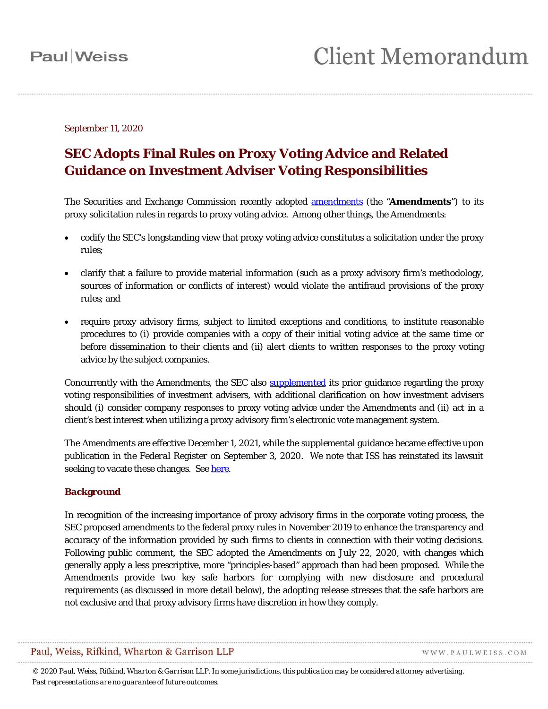### September 11, 2020

### **SEC Adopts Final Rules on Proxy Voting Advice and Related Guidance on Investment Adviser Voting Responsibilities**

The Securities and Exchange Commission recently adopted [amendments](https://www.sec.gov/rules/final/2020/34-89372.pdf) (the "**Amendments**") to its proxy solicitation rules in regards to proxy voting advice. Among other things, the Amendments:

- codify the SEC's longstanding view that proxy voting advice constitutes a solicitation under the proxy rules;
- clarify that a failure to provide material information (such as a proxy advisory firm's methodology, sources of information or conflicts of interest) would violate the antifraud provisions of the proxy rules; and
- require proxy advisory firms, subject to limited exceptions and conditions, to institute reasonable procedures to (i) provide companies with a copy of their initial voting advice at the same time or before dissemination to their clients and (ii) alert clients to written responses to the proxy voting advice by the subject companies.

Concurrently with the Amendments, the SEC also [supplemented](https://www.sec.gov/rules/policy/2020/ia-5547.pdf) its prior guidance regarding the proxy voting responsibilities of investment advisers, with additional clarification on how investment advisers should (i) consider company responses to proxy voting advice under the Amendments and (ii) act in a client's best interest when utilizing a proxy advisory firm's electronic vote management system.

The Amendments are effective December 1, 2021, while the supplemental guidance became effective upon publication in the *Federal Register* on September 3, 2020. We note that ISS has reinstated its lawsuit seeking to vacate these changes. Se[e here.](https://insights.issgovernance.com/posts/august-12-2020-statement-from-iss-president-ceo-gary-retelny/)

### **Background**

In recognition of the increasing importance of proxy advisory firms in the corporate voting process, the SEC proposed amendments to the federal proxy rules in November 2019 to enhance the transparency and accuracy of the information provided by such firms to clients in connection with their voting decisions. Following public comment, the SEC adopted the Amendments on July 22, 2020, with changes which generally apply a less prescriptive, more "principles-based" approach than had been proposed. While the Amendments provide two key safe harbors for complying with new disclosure and procedural requirements (as discussed in more detail below), the adopting release stresses that the safe harbors are not exclusive and that proxy advisory firms have discretion in how they comply.

Paul, Weiss, Rifkind, Wharton & Garrison LLP

WWW.PAULWEISS.COM

*© 2020 Paul, Weiss, Rifkind, Wharton & Garrison LLP. In some jurisdictions, this publication may be considered attorney advertising. Past representations are no guarantee of future outcomes.*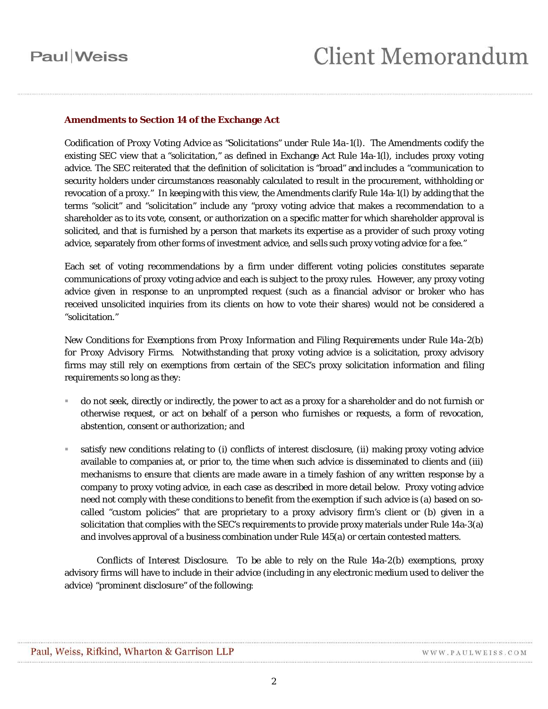### **Amendments to Section 14 of the Exchange Act**

*Codification of Proxy Voting Advice as "Solicitations" under Rule 14a-1(l)*. The Amendments codify the existing SEC view that a "solicitation," as defined in Exchange Act Rule 14a-1(l), includes proxy voting advice. The SEC reiterated that the definition of solicitation is "broad" and includes a "communication to security holders under circumstances reasonably calculated to result in the procurement, withholding or revocation of a proxy." In keeping with this view, the Amendments clarify Rule 14a-1(l) by adding that the terms "solicit" and "solicitation" include any "proxy voting advice that makes a recommendation to a shareholder as to its vote, consent, or authorization on a specific matter for which shareholder approval is solicited, and that is furnished by a person that markets its expertise as a provider of such proxy voting advice, separately from other forms of investment advice, and sells such proxy voting advice for a fee."

Each set of voting recommendations by a firm under different voting policies constitutes separate communications of proxy voting advice and each is subject to the proxy rules. However, any proxy voting advice given in response to an unprompted request (such as a financial advisor or broker who has received unsolicited inquiries from its clients on how to vote their shares) would not be considered a "solicitation."

*New Conditions for Exemptions from Proxy Information and Filing Requirements under Rule 14a-2(b) for Proxy Advisory Firms*. Notwithstanding that proxy voting advice is a solicitation, proxy advisory firms may still rely on exemptions from certain of the SEC's proxy solicitation information and filing requirements so long as they:

- do not seek, directly or indirectly, the power to act as a proxy for a shareholder and do not furnish or otherwise request, or act on behalf of a person who furnishes or requests, a form of revocation, abstention, consent or authorization; and
- satisfy new conditions relating to (i) conflicts of interest disclosure, (ii) making proxy voting advice available to companies at, or prior to, the time when such advice is disseminated to clients and (iii) mechanisms to ensure that clients are made aware in a timely fashion of any written response by a company to proxy voting advice, in each case as described in more detail below. Proxy voting advice need not comply with these conditions to benefit from the exemption if such advice is (a) based on socalled "custom policies" that are proprietary to a proxy advisory firm's client or (b) given in a solicitation that complies with the SEC's requirements to provide proxy materials under Rule 14a-3(a) and involves approval of a business combination under Rule 145(a) or certain contested matters.

*Conflicts of Interest Disclosure*.To be able to rely on the Rule 14a-2(b) exemptions, proxy advisory firms will have to include in their advice (including in any electronic medium used to deliver the advice) "prominent disclosure" of the following: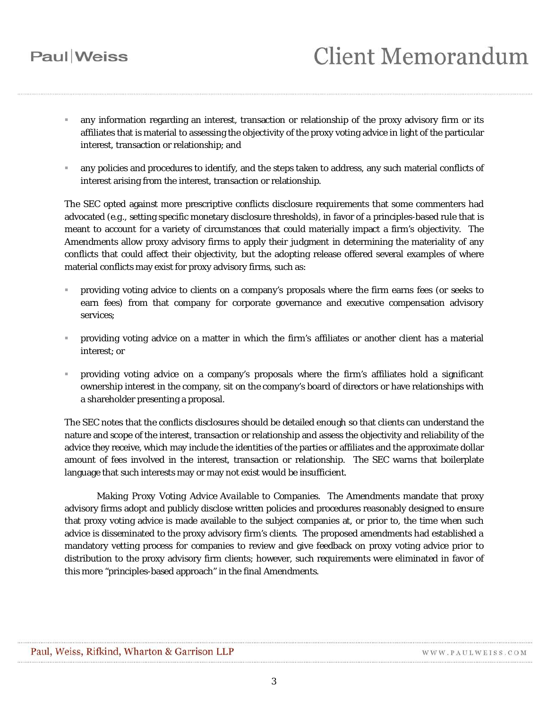# **Client Memorandum**

- any information regarding an interest, transaction or relationship of the proxy advisory firm or its affiliates that is material to assessing the objectivity of the proxy voting advice in light of the particular interest, transaction or relationship; and
- any policies and procedures to identify, and the steps taken to address, any such material conflicts of interest arising from the interest, transaction or relationship.

The SEC opted against more prescriptive conflicts disclosure requirements that some commenters had advocated (*e.g.*, setting specific monetary disclosure thresholds), in favor of a principles-based rule that is meant to account for a variety of circumstances that could materially impact a firm's objectivity. The Amendments allow proxy advisory firms to apply their judgment in determining the materiality of any conflicts that could affect their objectivity, but the adopting release offered several examples of where material conflicts may exist for proxy advisory firms, such as:

- providing voting advice to clients on a company's proposals where the firm earns fees (or seeks to earn fees) from that company for corporate governance and executive compensation advisory services;
- providing voting advice on a matter in which the firm's affiliates or another client has a material interest; or
- providing voting advice on a company's proposals where the firm's affiliates hold a significant ownership interest in the company, sit on the company's board of directors or have relationships with a shareholder presenting a proposal.

The SEC notes that the conflicts disclosures should be detailed enough so that clients can understand the nature and scope of the interest, transaction or relationship and assess the objectivity and reliability of the advice they receive, which may include the identities of the parties or affiliates and the approximate dollar amount of fees involved in the interest, transaction or relationship. The SEC warns that boilerplate language that such interests may or may not exist would be insufficient.

*Making Proxy Voting Advice Available to Companies*.The Amendments mandate that proxy advisory firms adopt and publicly disclose written policies and procedures reasonably designed to ensure that proxy voting advice is made available to the subject companies at, or prior to, the time when such advice is disseminated to the proxy advisory firm's clients. The proposed amendments had established a mandatory vetting process for companies to review and give feedback on proxy voting advice prior to distribution to the proxy advisory firm clients; however, such requirements were eliminated in favor of this more "principles-based approach" in the final Amendments.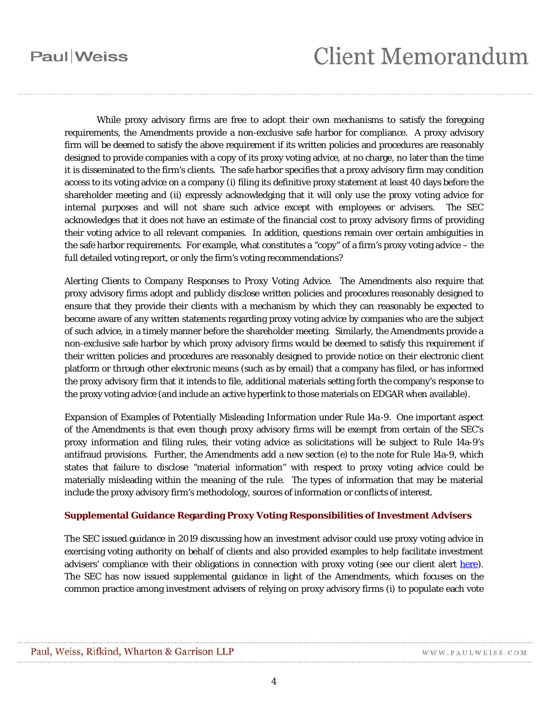# **Client Memorandum**

While proxy advisory firms are free to adopt their own mechanisms to satisfy the foregoing requirements, the Amendments provide a non-exclusive safe harbor for compliance. A proxy advisory firm will be deemed to satisfy the above requirement if its written policies and procedures are reasonably designed to provide companies with a copy of its proxy voting advice, at no charge, no later than the time it is disseminated to the firm's clients. The safe harbor specifies that a proxy advisory firm may condition access to its voting advice on a company (i) filing its definitive proxy statement at least 40 days before the shareholder meeting and (ii) expressly acknowledging that it will only use the proxy voting advice for internal purposes and will not share such advice except with employees or advisers. The SEC acknowledges that it does not have an estimate of the financial cost to proxy advisory firms of providing their voting advice to all relevant companies. In addition, questions remain over certain ambiguities in the safe harbor requirements. For example, what constitutes a "copy" of a firm's proxy voting advice – the full detailed voting report, or only the firm's voting recommendations?

*Alerting Clients to Company Responses to Proxy Voting Advice*. The Amendments also require that proxy advisory firms adopt and publicly disclose written policies and procedures reasonably designed to ensure that they provide their clients with a mechanism by which they can reasonably be expected to become aware of any written statements regarding proxy voting advice by companies who are the subject of such advice, in a timely manner before the shareholder meeting. Similarly, the Amendments provide a non-exclusive safe harbor by which proxy advisory firms would be deemed to satisfy this requirement if their written policies and procedures are reasonably designed to provide notice on their electronic client platform or through other electronic means (such as by email) that a company has filed, or has informed the proxy advisory firm that it intends to file, additional materials setting forth the company's response to the proxy voting advice (and include an active hyperlink to those materials on EDGAR when available).

*Expansion of Examples of Potentially Misleading Information under Rule 14a-9*. One important aspect of the Amendments is that even though proxy advisory firms will be exempt from certain of the SEC's proxy information and filing rules, their voting advice as solicitations will be subject to Rule 14a-9's antifraud provisions. Further, the Amendments add a new section (e) to the note for Rule 14a-9, which states that failure to disclose "material information" with respect to proxy voting advice could be materially misleading within the meaning of the rule. The types of information that may be material include the proxy advisory firm's methodology, sources of information or conflicts of interest.

#### **Supplemental Guidance Regarding Proxy Voting Responsibilities of Investment Advisers**

The SEC issued guidance in 2019 discussing how an investment advisor could use proxy voting advice in exercising voting authority on behalf of clients and also provided examples to help facilitate investment advisers' compliance with their obligations in connection with proxy voting (see our client alert [here\)](https://www.paulweiss.com/practices/transactional/capital-markets-securities/publications/sec-issues-guidance-on-proxy-voting-responsibilities-of-investment-advisers-and-the-applicability-of-proxy-rules-to-proxy-voting-advice?id=29308). The SEC has now issued supplemental guidance in light of the Amendments, which focuses on the common practice among investment advisers of relying on proxy advisory firms (i) to populate each vote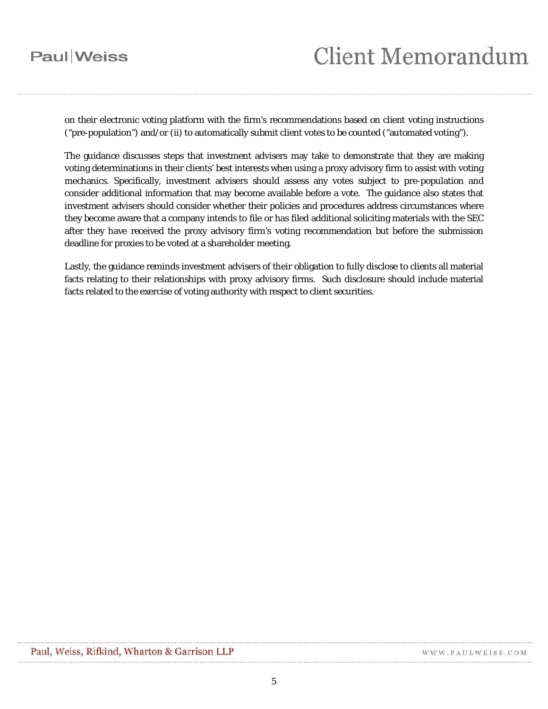# **Client Memorandum**

on their electronic voting platform with the firm's recommendations based on client voting instructions ("pre-population") and/or (ii) to automatically submit client votes to be counted ("automated voting").

The guidance discusses steps that investment advisers may take to demonstrate that they are making voting determinations in their clients' best interests when using a proxy advisory firm to assist with voting mechanics. Specifically, investment advisers should assess any votes subject to pre-population and consider additional information that may become available before a vote. The guidance also states that investment advisers should consider whether their policies and procedures address circumstances where they become aware that a company intends to file or has filed additional soliciting materials with the SEC after they have received the proxy advisory firm's voting recommendation but before the submission deadline for proxies to be voted at a shareholder meeting.

Lastly, the guidance reminds investment advisers of their obligation to fully disclose to clients all material facts relating to their relationships with proxy advisory firms. Such disclosure should include material facts related to the exercise of voting authority with respect to client securities.